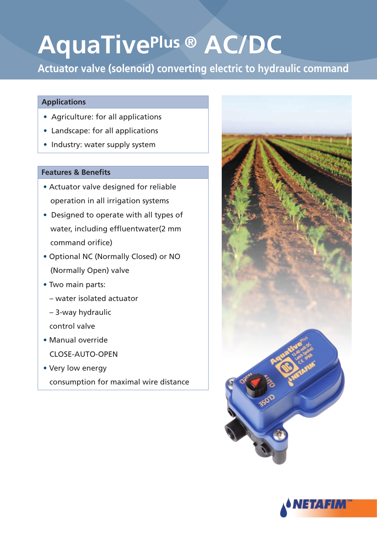# **AquaTivePlus ® AC/DC**

**Actuator valve (solenoid) converting electric to hydraulic command** 

### **Applications**

- Agriculture: for all applications
- Landscape: for all applications
- Industry: water supply system

### **Features & Benefits**

- Actuator valve designed for reliable operation in all irrigation systems
- Designed to operate with all types of water, including effluentwater(2 mm command orifice)
- Optional NC (Normally Closed) or NO (Normally Open) valve
- Two main parts:
	- water isolated actuator
	- 3-way hydraulic

control valve

- Manual override CLOSE-AUTO-OPEN
- Very low energy consumption for maximal wire distance



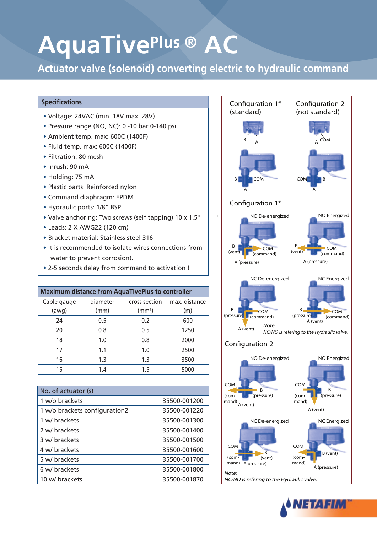# **AquaTivePlus ® AC**

**Actuator valve (solenoid) converting electric to hydraulic command** 

#### **Specifications**

- Voltage: 24VAC (min. 18V max. 28V)
- Pressure range (NO, NC): 0 -10 bar 0-140 psi
- Ambient temp. max: 600C (1400F)
- Fluid temp. max: 600C (1400F)
- Filtration: 80 mesh
- $\cdot$  Inrush: 90 mA
- Holding: 75 mA
- Plastic parts: Reinforced nylon
- Command diaphragm: EPDM
- Hydraulic ports: 1/8" BSP
- Valve anchoring: Two screws (self tapping) 10 x 1.5"  $\vert$
- Leads: 2 X AWG 22 (120 cm)
- Bracket material: Stainless steel 316
- It is recommended to isolate wires connections from water to prevent corrosion).
- . 2-5 seconds delay from command to activation !

| <b>Maximum distance from AquaTivePlus to controller</b> |          |                           |               |  |
|---------------------------------------------------------|----------|---------------------------|---------------|--|
| Cable gauge                                             | diameter | cross section             | max. distance |  |
| (awg)                                                   | (mm)     | (mm <sup>2</sup> )<br>(m) |               |  |
| 24                                                      | 0.5      | 0.2                       | 600           |  |
| 20                                                      | 0.8      | 0.5                       | 1250          |  |
| 18                                                      | 1.0      | 0.8                       | 2000          |  |
| 17                                                      | 1.1      | 1.0                       | 2500          |  |
| 16                                                      | 1.3      | 1.3                       | 3500          |  |
| 15                                                      | 1.4      | 1.5                       | 5000          |  |

| No. of actuator (s)           |              |
|-------------------------------|--------------|
| 1 w/o brackets                | 35500-001200 |
| 1 w/o brackets configuration2 | 35500-001220 |
| 1 w/ brackets                 | 35500-001300 |
| 2 w/ brackets                 | 35500-001400 |
| 3 w/ brackets                 | 35500-001500 |
| 4 w/ brackets                 | 35500-001600 |
| 5 w/ brackets                 | 35500-001700 |
| 6 w/ brackets                 | 35500-001800 |
| 10 w/ brackets                | 35500-001870 |



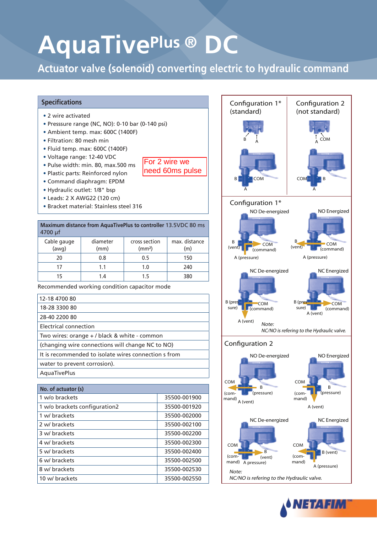# **AquaTivePlus ® DC**

**Actuator valve (solenoid) converting electric to hydraulic command** 

For 2 wire we need 60ms pulse

#### **Specifications**

- 2 wire activated
- Presssure range (NC, NO): 0-10 bar (0-140 psi)
- Ambient temp. max: 600C (1400F)
- Filtration: 80 mesh min
- Fluid temp. max: 600C (1400F)
- Voltage range: 12-40 VDC
- Pulse width: min. 80, max 500 ms
- Plastic parts: Reinforced nylon
- Command diaphragm: EPDM
- Hydraulic outlet: 1/8" bsp
- Leads: 2 X AWG 22 (120 cm)
- Bracket material: Stainless steel 316

**Maximum distance from AquaTivePlus to controller 13.5VDC 80 ms** 4700 μf

| Cable gauge<br>(awg) | diameter<br>(mm) | cross section<br>(mm <sup>2</sup> ) | max. distance<br>(m) |
|----------------------|------------------|-------------------------------------|----------------------|
| 20                   | 0.8              | 0.5                                 | 150                  |
|                      | 1.1              | 1.0                                 | 240                  |
|                      | $\sqrt{ }$       |                                     | 380                  |

Recommended working condition capacitor mode

| 12-18 4700 80                                        |
|------------------------------------------------------|
| 18-28 3300 80                                        |
| 28-40 2200 80                                        |
| Electrical connection                                |
| Two wires: orange + / black & white - common         |
| (changing wire connections will change NC to NO)     |
| It is recommended to isolate wires connection s from |
| water to prevent corrosion).                         |
| AquaTivePlus                                         |
|                                                      |

| No. of actuator (s)           |              |
|-------------------------------|--------------|
| 1 w/o brackets                | 35500-001900 |
| 1 w/o brackets configuration2 | 35500-001920 |
| 1 w/ brackets                 | 35500-002000 |
| 2 w/ brackets                 | 35500-002100 |
| 3 w/ brackets                 | 35500-002200 |
| 4 w/ brackets                 | 35500-002300 |
| 5 w/ brackets                 | 35500-002400 |
| 6 w/ brackets                 | 35500-002500 |
| 8 w/ brackets                 | 35500-002530 |
| 10 w/ brackets                | 35500-002550 |